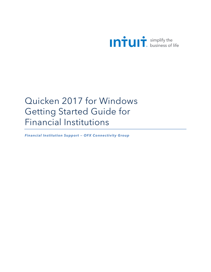

# Quicken 2017 for Windows Getting Started Guide for Financial Institutions

*Financial Institution Support — OFX Connectivity Group*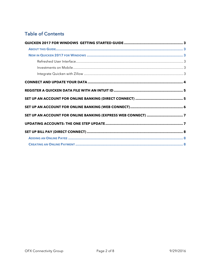# **Table of Contents**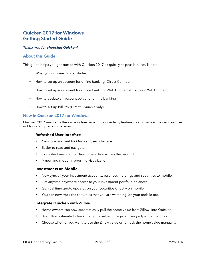## Quicken 2017 for Windows Getting Started Guide

### *Thank you for choosing Quicken!*

### About this Guide

This guide helps you get started with Quicken 2017 as quickly as possible. You'll learn:

- What you will need to get started
- How to set up an account for online banking (Direct Connect)
- How to set up an account for online banking (Web Connect & Express Web Connect)
- How to update an account setup for online banking
- How to set up Bill Pay (Direct Connect-only)

### New in Quicken 2017 for Windows

Quicken 2017 maintains the same online banking connectivity features, along with some new features not found on previous versions.

### **Refreshed User Interface**

- New look and feel for Quicken User Interface.
- Easier to read and navigate.
- Consistent and standardized interaction across the product.
- A new and modern reporting visualization.

#### **Investments on Mobile**

- Now sync all your investment accounts, balances, holdings and securities to mobile.
- Get anytime anywhere access to your investment portfolio balances.
- Get real time quote updates on your securities directly on mobile.
- You can now track the securities that you are watching, on your mobile too.

#### **Integrate Quicken with Zillow**

- Home owners can now automatically pull the home value from Zillow, into Quicken.
- Use Zillow estimate to track the home value on register using adjustment entries.
- Choose whether you want to use the Zillow value or to track the home value manually.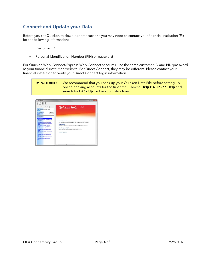# Connect and Update your Data

Before you set Quicken to download transactions you may need to contact your financial institution (FI) for the following information:

- Customer ID
- Personal Identification Number (PIN) or password

For Quicken Web Connect/Express Web Connect accounts, use the same customer ID and PIN/password as your financial institution website. For Direct Connect, they may be different. Please contact your financial institution to verify your Direct Connect login information.

**IMPORTANT:** We recommend that you back up your Quicken Data File before setting up online banking accounts for the first time. Choose **Help > Quicken Help** and search for **Back Up** for backup instructions.

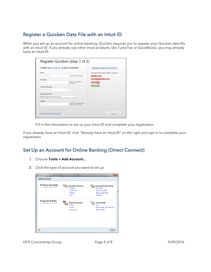# Register a Quicken Data File with an Intuit ID

When you set up an account for online banking, Quicken requires you to register your Quicken data file with an Intuit ID. If you already use other Intuit products, like TurboTax or QuickBooks, you may already have an Intuit ID.

| Create your Intuit ID to get connected |                                                       | Already have an Intuit ID?                  |
|----------------------------------------|-------------------------------------------------------|---------------------------------------------|
| Fmail                                  |                                                       | You can use the same Intuit ID you use for: |
| <b>Email address</b>                   | This will be your Intuit ID                           | <b>Quicken.com</b>                          |
| Password                               |                                                       | <b>Investing.Quicken.com</b>                |
| Password                               | Minimum 6 characters.<br>no spaces.                   | <b>TurboTax</b>                             |
| <b>Confirm Password</b>                |                                                       | <b>QuickBooks</b>                           |
| Confirm Password                       |                                                       |                                             |
| <b>Security Question</b>               |                                                       |                                             |
| What was the name of your first pet?   | $\overline{\phantom{a}}$                              |                                             |
| Answer                                 |                                                       |                                             |
| Answer                                 | Use this if you ever need to<br>recover your password |                                             |
|                                        |                                                       |                                             |

Fill in the information to set up your Intuit ID and complete your registration

If you already have an Intuit ID, click "Already have an Intuit ID" on the right and sign in to complete your registration

## Set Up an Account for Online Banking (Direct Connect)

- 1. Choose **Tools > Add Account...**
- 2. Click the type of account you want to set up.

| Add Account                                           |                                                                            | $\overline{\mathbf{x}}$                                                                                           |
|-------------------------------------------------------|----------------------------------------------------------------------------|-------------------------------------------------------------------------------------------------------------------|
| <b>Add Account</b>                                    |                                                                            |                                                                                                                   |
| <b>Primary Accounts</b><br>For managing your finances | <b>Spending &amp; Saving</b><br>Checking<br>Credit Card<br>Savings<br>Cash | <b>Investing &amp; Retirement</b><br><b>Brokerage</b><br>401(k) or 403(b)<br><b>IRA or Keogh Plan</b><br>529 Plan |
| Property & Debt<br>For tracking your net worth        | <b>Property &amp; Assets</b><br>House<br>Vehicle<br>Other Asset            | <b>Loans &amp; Debt</b><br>Loan<br>Home Equity Line (HELOC)<br>Other Liability                                    |
|                                                       |                                                                            |                                                                                                                   |
| $\left( 2\right)$                                     |                                                                            | Cancel                                                                                                            |

OFX Connectivity Group **Page 5 of 8** Page 5 of 8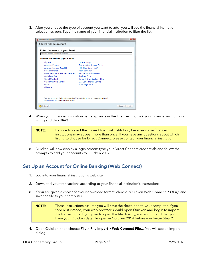3. After you choose the type of account you want to add, you will see the financial institution selection screen. Type the name of your financial institution to filter the list.

| Add Checking Account                                                                                                                   |                                     |                     |  |
|----------------------------------------------------------------------------------------------------------------------------------------|-------------------------------------|---------------------|--|
| <b>Add Checking Account</b>                                                                                                            |                                     |                     |  |
| Enter the name of your bank                                                                                                            |                                     |                     |  |
| Type here to search all supported institutions                                                                                         |                                     |                     |  |
| Or choose from these popular banks                                                                                                     |                                     |                     |  |
| AllyBank                                                                                                                               | <b>Citibank Group</b>               |                     |  |
| <b>American Express</b>                                                                                                                | <b>Discover Card Account Center</b> |                     |  |
| American Express Bank FSB                                                                                                              | Fifth Third Bank - NFW              |                     |  |
| <b>Bank of America</b>                                                                                                                 | <b>HSBC Bank USA</b>                |                     |  |
| BB&T Bankcard & Merchant Services                                                                                                      | PNC Bank - Web Connect              |                     |  |
| Capital One 360                                                                                                                        | <b>SunTrust Bank</b>                |                     |  |
| Capital One Bank                                                                                                                       | TD Bank Online Banking - New        |                     |  |
| <b>Capital One Card Services</b>                                                                                                       | U.S. Bank Internet Banking          |                     |  |
| Chase                                                                                                                                  | <b>Wells Fargo Bank</b>             |                     |  |
| Citi Cards                                                                                                                             |                                     |                     |  |
| Bank not on the list? Prefer not to download? Interested in advanced connection methods?<br>Use Advanced Setup to create your account. |                                     |                     |  |
| Cancel                                                                                                                                 |                                     | <b>Back</b><br>Next |  |

4. When your financial institution name appears in the filter results, click your financial institution's listing and click **Next**.



5. Quicken will now display a login screen: type your Direct Connect credentials and follow the prompts to add your accounts to Quicken 2017.

## Set Up an Account for Online Banking (Web Connect)

- 1. Log into your financial institution's web site.
- 2. Download your transactions according to your financial institution's instructions.
- 3. If you are given a choice for your download format, choose "Quicken Web Connect (\*.QFX)" and save the file to your computer.

**NOTE:** These instructions assume you will save the download to your computer. If you "open" it instead, your web browser should open Quicken and begin to import the transactions. If you plan to open the file directly, we recommend that you have your Quicken data file open in Quicken 2014 before you begin Step 2.

4. Open Quicken, then choose **File > File Import > Web Connect File…** You will see an import dialog.

OFX Connectivity Group **Page 6 of 8** 9/29/2016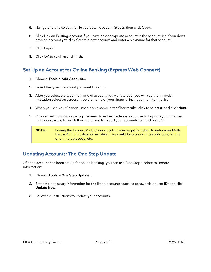- 5. Navigate to and select the file you downloaded in Step 2, then click Open.
- 6. Click Link an Existing Account if you have an appropriate account in the account list. If you don't have an account yet, click Create a new account and enter a nickname for that account.
- 7. Click Import.
- 8. Click OK to confirm and finish.

## Set Up an Account for Online Banking (Express Web Connect)

- 1. Choose **Tools > Add Account...**
- 2. Select the type of account you want to set up.
- 3. After you select the type the name of account you want to add, you will see the financial institution selection screen. Type the name of your financial institution to filter the list.
- 4. When you see your financial institution's name in the filter results, click to select it, and click **Next**.
- 5. Quicken will now display a login screen: type the credentials you use to log in to your financial institution's website and follow the prompts to add your accounts to Quicken 2017.



# Updating Accounts: The One Step Update

After an account has been set up for online banking, you can use One Step Update to update information:

- 1. Choose **Tools > One Step Update…**
- 2. Enter the necessary information for the listed accounts (such as passwords or user ID) and click **Update Now**.
- 3. Follow the instructions to update your accounts.